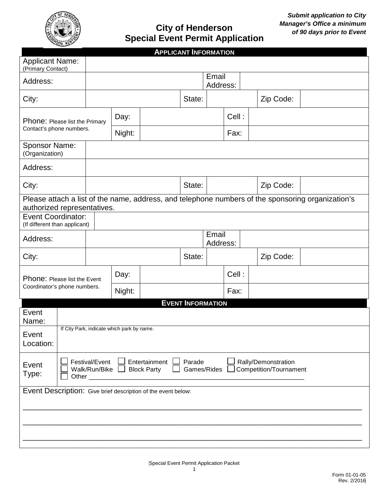

## *of 90 days prior to Event* **City of Henderson Special Event Permit Application**

|                                                                                                                                                                             |                   |        |  | <b>APPLICANT INFORMATION</b> |                   |       |  |           |  |
|-----------------------------------------------------------------------------------------------------------------------------------------------------------------------------|-------------------|--------|--|------------------------------|-------------------|-------|--|-----------|--|
| <b>Applicant Name:</b><br>(Primary Contact)                                                                                                                                 |                   |        |  |                              |                   |       |  |           |  |
| Address:                                                                                                                                                                    |                   |        |  |                              | Email<br>Address: |       |  |           |  |
| City:                                                                                                                                                                       |                   |        |  | State:                       |                   |       |  | Zip Code: |  |
| Phone: Please list the Primary                                                                                                                                              |                   | Day:   |  |                              |                   | Cell: |  |           |  |
| Contact's phone numbers.                                                                                                                                                    |                   | Night: |  |                              | Fax:              |       |  |           |  |
| Sponsor Name:<br>(Organization)                                                                                                                                             |                   |        |  |                              |                   |       |  |           |  |
| Address:                                                                                                                                                                    |                   |        |  |                              |                   |       |  |           |  |
| City:                                                                                                                                                                       |                   |        |  | State:                       |                   |       |  | Zip Code: |  |
| Please attach a list of the name, address, and telephone numbers of the sponsoring organization's<br>authorized representatives.                                            |                   |        |  |                              |                   |       |  |           |  |
| <b>Event Coordinator:</b><br>(If different than applicant)                                                                                                                  |                   |        |  |                              |                   |       |  |           |  |
| Address:                                                                                                                                                                    | Email<br>Address: |        |  |                              |                   |       |  |           |  |
| City:                                                                                                                                                                       |                   |        |  | State:                       |                   |       |  | Zip Code: |  |
| Phone: Please list the Event<br>Coordinator's phone numbers.                                                                                                                |                   | Day:   |  |                              |                   | Cell: |  |           |  |
|                                                                                                                                                                             |                   | Night: |  |                              | Fax:              |       |  |           |  |
| <b>EVENT INFORMATION</b>                                                                                                                                                    |                   |        |  |                              |                   |       |  |           |  |
| Event<br>Name:                                                                                                                                                              |                   |        |  |                              |                   |       |  |           |  |
| If City Park, indicate which park by name.<br>Event<br>Location:                                                                                                            |                   |        |  |                              |                   |       |  |           |  |
| Parade<br>Rally/Demonstration<br>Festival/Event<br>Entertainment<br>Event<br>Walk/Run/Bike<br><b>Block Party</b><br>Games/Rides<br>Competition/Tournament<br>Type:<br>Other |                   |        |  |                              |                   |       |  |           |  |
| Event Description: Give brief description of the event below:                                                                                                               |                   |        |  |                              |                   |       |  |           |  |
|                                                                                                                                                                             |                   |        |  |                              |                   |       |  |           |  |
|                                                                                                                                                                             |                   |        |  |                              |                   |       |  |           |  |
|                                                                                                                                                                             |                   |        |  |                              |                   |       |  |           |  |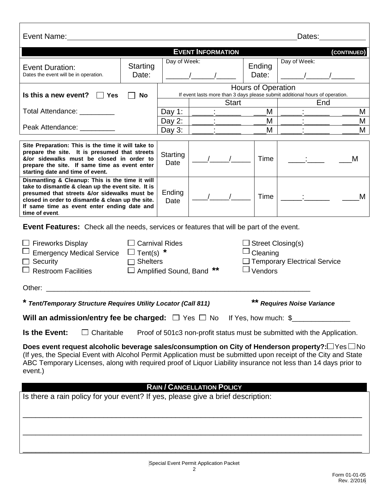| Event Name:                                                                                                                                                                                                                                                                                                                                                                          |           |                  |                                   |                    | Dates:                                                                       |   |
|--------------------------------------------------------------------------------------------------------------------------------------------------------------------------------------------------------------------------------------------------------------------------------------------------------------------------------------------------------------------------------------|-----------|------------------|-----------------------------------|--------------------|------------------------------------------------------------------------------|---|
|                                                                                                                                                                                                                                                                                                                                                                                      |           |                  |                                   |                    |                                                                              |   |
|                                                                                                                                                                                                                                                                                                                                                                                      |           |                  | <b>EVENT INFORMATION</b>          |                    | (CONTINUED)                                                                  |   |
| <b>Event Duration:</b>                                                                                                                                                                                                                                                                                                                                                               | Starting  | Day of Week:     |                                   | Ending             | Day of Week:                                                                 |   |
| Dates the event will be in operation.                                                                                                                                                                                                                                                                                                                                                | Date:     |                  |                                   | Date:              |                                                                              |   |
|                                                                                                                                                                                                                                                                                                                                                                                      |           |                  |                                   | Hours of Operation |                                                                              |   |
| Is this a new event? $\Box$<br>Yes                                                                                                                                                                                                                                                                                                                                                   | <b>No</b> |                  |                                   |                    | If event lasts more than 3 days please submit additional hours of operation. |   |
|                                                                                                                                                                                                                                                                                                                                                                                      |           |                  | <b>Start</b>                      |                    | End                                                                          |   |
| Total Attendance: _________                                                                                                                                                                                                                                                                                                                                                          |           | Day 1:           |                                   | М                  |                                                                              | M |
| Peak Attendance: _________                                                                                                                                                                                                                                                                                                                                                           |           | Day 2:           |                                   | M                  |                                                                              | M |
|                                                                                                                                                                                                                                                                                                                                                                                      |           | Day $3:$         |                                   | М                  |                                                                              | M |
| Site Preparation: This is the time it will take to<br>prepare the site. It is presumed that streets<br>&/or sidewalks must be closed in order to<br>prepare the site. If same time as event enter<br>starting date and time of event.                                                                                                                                                |           | Starting<br>Date |                                   | Time               | M                                                                            |   |
| Dismantling & Cleanup: This is the time it will<br>take to dismantle & clean up the event site. It is<br>presumed that streets &/or sidewalks must be<br>closed in order to dismantle & clean up the site.<br>If same time as event enter ending date and<br>time of event.                                                                                                          |           | Ending<br>Date   |                                   | Time               |                                                                              | M |
| <b>Event Features:</b> Check all the needs, services or features that will be part of the event.<br><b>Carnival Rides</b><br><b>Fireworks Display</b><br>Street Closing(s)<br>Tent(s) $*$<br>Cleaning<br><b>Emergency Medical Service</b><br>Temporary Electrical Service<br>Security<br><b>Shelters</b><br>$\Box$<br>Vendors<br><b>Restroom Facilities</b><br>Amplified Sound, Band |           |                  |                                   |                    |                                                                              |   |
| Other:                                                                                                                                                                                                                                                                                                                                                                               |           |                  |                                   |                    |                                                                              |   |
| ** Requires Noise Variance<br>* Tent/Temporary Structure Requires Utility Locator (Call 811)                                                                                                                                                                                                                                                                                         |           |                  |                                   |                    |                                                                              |   |
| Will an admission/entry fee be charged: $\Box$ Yes $\Box$ No If Yes, how much: \$                                                                                                                                                                                                                                                                                                    |           |                  |                                   |                    |                                                                              |   |
| Is the Event:<br>$\Box$ Charitable                                                                                                                                                                                                                                                                                                                                                   |           |                  |                                   |                    | Proof of 501c3 non-profit status must be submitted with the Application.     |   |
| Does event request alcoholic beverage sales/consumption on City of Henderson property?: $\Box$ Yes $\Box$ No<br>(If yes, the Special Event with Alcohol Permit Application must be submitted upon receipt of the City and State<br>ABC Temporary Licenses, along with required proof of Liquor Liability insurance not less than 14 days prior to<br>event.)                         |           |                  |                                   |                    |                                                                              |   |
|                                                                                                                                                                                                                                                                                                                                                                                      |           |                  | <b>RAIN / CANCELLATION POLICY</b> |                    |                                                                              |   |
| Is there a rain policy for your event? If yes, please give a brief description:                                                                                                                                                                                                                                                                                                      |           |                  |                                   |                    |                                                                              |   |
|                                                                                                                                                                                                                                                                                                                                                                                      |           |                  |                                   |                    |                                                                              |   |
|                                                                                                                                                                                                                                                                                                                                                                                      |           |                  |                                   |                    |                                                                              |   |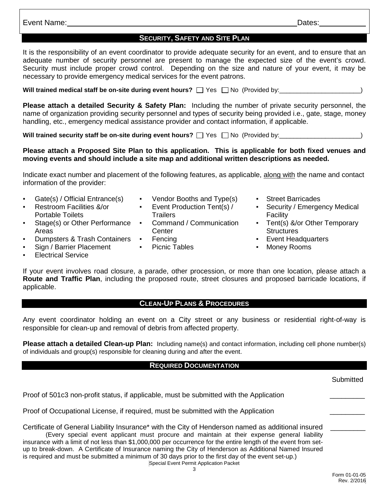Event Name: Dates:

## **SECURITY, SAFETY AND SITE PLAN**

It is the responsibility of an event coordinator to provide adequate security for an event, and to ensure that an adequate number of security personnel are present to manage the expected size of the event's crowd. Security must include proper crowd control. Depending on the size and nature of your event, it may be necessary to provide emergency medical services for the event patrons.

Will trained medical staff be on-site during event hours?  $\Box$  Yes  $\Box$  No (Provided by: \_\_\_\_\_\_\_\_\_\_\_\_\_\_\_\_\_\_\_\_\_\_\_)

**Please attach a detailed Security & Safety Plan:** Including the number of private security personnel, the name of organization providing security personnel and types of security being provided i.e., gate, stage, money handling, etc., emergency medical assistance provider and contact information, if applicable.

**Will trained security staff be on-site during event hours?**  $\Box$  Yes  $\Box$  No (Provided by:  $\Box$ 

#### **Please attach a Proposed Site Plan to this application. This is applicable for both fixed venues and moving events and should include a site map and additional written descriptions as needed.**

Indicate exact number and placement of the following features, as applicable, along with the name and contact information of the provider:

- Gate(s) / Official Entrance(s) Vendor Booths and Type(s) Street Barricades
- Restroom Facilities &/or Portable Toilets
- Stage(s) or Other Performance Areas
- **Dumpsters & Trash Containers Fencing**
- Sign / Barrier Placement Picnic Tables **France Rooms**
- **Electrical Service**
- 
- Event Production Tent(s) / **Trailers**
- Command / Communication **Center**
- 
- 
- 
- Security / Emergency Medical Facility
- Tent(s) &/or Other Temporary Structures<br>Event Headquarters
- 
- 
- If your event involves road closure, a parade, other procession, or more than one location, please attach a **Route and Traffic Plan**, including the proposed route, street closures and proposed barricade locations, if applicable.

#### **CLEAN-UP PLANS & PROCEDURES**

Any event coordinator holding an event on a City street or any business or residential right-of-way is responsible for clean-up and removal of debris from affected property.

**Please attach a detailed Clean-up Plan:** Including name(s) and contact information, including cell phone number(s) of individuals and group(s) responsible for cleaning during and after the event.

#### **REQUIRED DOCUMENTATION**

**Submitted** 

Proof of 501c3 non-profit status, if applicable, must be submitted with the Application \_\_\_\_\_\_\_\_\_

Proof of Occupational License, if required, must be submitted with the Application

Special Event Permit Application Packet Certificate of General Liability Insurance\* with the City of Henderson named as additional insured (Every special event applicant must procure and maintain at their expense general liability insurance with a limit of not less than \$1,000,000 per occurrence for the entire length of the event from setup to break-down. A Certificate of Insurance naming the City of Henderson as Additional Named Insured is required and must be submitted a minimum of 30 days prior to the first day of the event set-up.)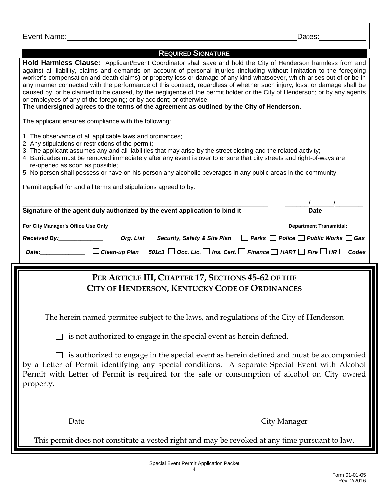| Event Name:                                                                                                                                                                                                                                                                                                                                                                                                                                                                                                                                                                                                                                                                                                                                                                                                                   | Dates:                                                                                                                      |
|-------------------------------------------------------------------------------------------------------------------------------------------------------------------------------------------------------------------------------------------------------------------------------------------------------------------------------------------------------------------------------------------------------------------------------------------------------------------------------------------------------------------------------------------------------------------------------------------------------------------------------------------------------------------------------------------------------------------------------------------------------------------------------------------------------------------------------|-----------------------------------------------------------------------------------------------------------------------------|
|                                                                                                                                                                                                                                                                                                                                                                                                                                                                                                                                                                                                                                                                                                                                                                                                                               |                                                                                                                             |
| <b>REQUIRED SIGNATURE</b><br>Hold Harmless Clause: Applicant/Event Coordinator shall save and hold the City of Henderson harmless from and<br>against all liability, claims and demands on account of personal injuries (including without limitation to the foregoing<br>worker's compensation and death claims) or property loss or damage of any kind whatsoever, which arises out of or be in<br>any manner connected with the performance of this contract, regardless of whether such injury, loss, or damage shall be<br>caused by, or be claimed to be caused, by the negligence of the permit holder or the City of Henderson; or by any agents<br>or employees of any of the foregoing; or by accident; or otherwise.<br>The undersigned agrees to the terms of the agreement as outlined by the City of Henderson. |                                                                                                                             |
| The applicant ensures compliance with the following:                                                                                                                                                                                                                                                                                                                                                                                                                                                                                                                                                                                                                                                                                                                                                                          |                                                                                                                             |
| 1. The observance of all applicable laws and ordinances;<br>2. Any stipulations or restrictions of the permit;<br>3. The applicant assumes any and all liabilities that may arise by the street closing and the related activity;<br>4. Barricades must be removed immediately after any event is over to ensure that city streets and right-of-ways are<br>re-opened as soon as possible;<br>5. No person shall possess or have on his person any alcoholic beverages in any public areas in the community.                                                                                                                                                                                                                                                                                                                  |                                                                                                                             |
| Permit applied for and all terms and stipulations agreed to by:                                                                                                                                                                                                                                                                                                                                                                                                                                                                                                                                                                                                                                                                                                                                                               |                                                                                                                             |
|                                                                                                                                                                                                                                                                                                                                                                                                                                                                                                                                                                                                                                                                                                                                                                                                                               |                                                                                                                             |
| Signature of the agent duly authorized by the event application to bind it                                                                                                                                                                                                                                                                                                                                                                                                                                                                                                                                                                                                                                                                                                                                                    | <b>Date</b>                                                                                                                 |
| For City Manager's Office Use Only                                                                                                                                                                                                                                                                                                                                                                                                                                                                                                                                                                                                                                                                                                                                                                                            | <b>Department Transmittal:</b>                                                                                              |
| Org. List $\Box$ Security, Safety & Site Plan $\Box$ Parks $\Box$ Police $\Box$ Public Works $\Box$ Gas<br>Received By: Received By:                                                                                                                                                                                                                                                                                                                                                                                                                                                                                                                                                                                                                                                                                          |                                                                                                                             |
|                                                                                                                                                                                                                                                                                                                                                                                                                                                                                                                                                                                                                                                                                                                                                                                                                               |                                                                                                                             |
| <i>Date:</i>                                                                                                                                                                                                                                                                                                                                                                                                                                                                                                                                                                                                                                                                                                                                                                                                                  | Clean-up Plan $\Box$ 501c3 $\Box$ Occ. Lic. $\Box$ Ins. Cert. $\Box$ Finance $\Box$ HART $\Box$ Fire $\Box$ HR $\Box$ Codes |
|                                                                                                                                                                                                                                                                                                                                                                                                                                                                                                                                                                                                                                                                                                                                                                                                                               |                                                                                                                             |
| PER ARTICLE III, CHAPTER 17, SECTIONS 45-62 OF THE<br>CITY OF HENDERSON, KENTUCKY CODE OF ORDINANCES                                                                                                                                                                                                                                                                                                                                                                                                                                                                                                                                                                                                                                                                                                                          |                                                                                                                             |
| The herein named permitee subject to the laws, and regulations of the City of Henderson                                                                                                                                                                                                                                                                                                                                                                                                                                                                                                                                                                                                                                                                                                                                       |                                                                                                                             |
| is not authorized to engage in the special event as herein defined.                                                                                                                                                                                                                                                                                                                                                                                                                                                                                                                                                                                                                                                                                                                                                           |                                                                                                                             |
| is authorized to engage in the special event as herein defined and must be accompanied<br>by a Letter of Permit identifying any special conditions. A separate Special Event with Alcohol<br>Permit with Letter of Permit is required for the sale or consumption of alcohol on City owned<br>property.                                                                                                                                                                                                                                                                                                                                                                                                                                                                                                                       |                                                                                                                             |
|                                                                                                                                                                                                                                                                                                                                                                                                                                                                                                                                                                                                                                                                                                                                                                                                                               |                                                                                                                             |
| Date                                                                                                                                                                                                                                                                                                                                                                                                                                                                                                                                                                                                                                                                                                                                                                                                                          | City Manager                                                                                                                |
| This permit does not constitute a vested right and may be revoked at any time pursuant to law.                                                                                                                                                                                                                                                                                                                                                                                                                                                                                                                                                                                                                                                                                                                                |                                                                                                                             |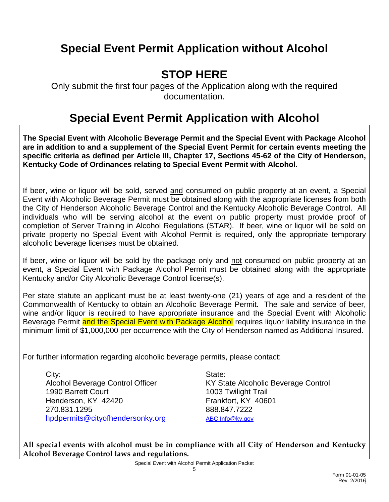# **Special Event Permit Application without Alcohol**

# **STOP HERE**

Only submit the first four pages of the Application along with the required documentation.

# **Special Event Permit Application with Alcohol**

**The Special Event with Alcoholic Beverage Permit and the Special Event with Package Alcohol are in addition to and a supplement of the Special Event Permit for certain events meeting the specific criteria as defined per Article III, Chapter 17, Sections 45-62 of the City of Henderson, Kentucky Code of Ordinances relating to Special Event Permit with Alcohol.**

If beer, wine or liquor will be sold, served and consumed on public property at an event, a Special Event with Alcoholic Beverage Permit must be obtained along with the appropriate licenses from both the City of Henderson Alcoholic Beverage Control and the Kentucky Alcoholic Beverage Control. All individuals who will be serving alcohol at the event on public property must provide proof of completion of Server Training in Alcohol Regulations (STAR). If beer, wine or liquor will be sold on private property no Special Event with Alcohol Permit is required, only the appropriate temporary alcoholic beverage licenses must be obtained.

If beer, wine or liquor will be sold by the package only and not consumed on public property at an event, a Special Event with Package Alcohol Permit must be obtained along with the appropriate Kentucky and/or City Alcoholic Beverage Control license(s).

Per state statute an applicant must be at least twenty-one (21) years of age and a resident of the Commonwealth of Kentucky to obtain an Alcoholic Beverage Permit. The sale and service of beer, wine and/or liquor is required to have appropriate insurance and the Special Event with Alcoholic Beverage Permit and the Special Event with Package Alcohol requires liquor liability insurance in the minimum limit of \$1,000,000 per occurrence with the City of Henderson named as Additional Insured.

For further information regarding alcoholic beverage permits, please contact:

City: State: State: State: State: State: State: State: State: State: State: State: State: State: State: State: State: State: State: State: State: State: State: State: State: State: State: State: State: State: State: State: 1990 Barrett Court 1003 Twilight Trail Henderson, KY 42420 Frankfort, KY 40601 270.831.1295 888.847.7222 [hpdpermits@cityofhendersonky.org](mailto:hpdpermits@cityofhendersonky.org) [ABC.Info@ky.gov](mailto:ABC.Info@ky.gov)

Alcohol Beverage Control Officer KY State Alcoholic Beverage Control

**All special events with alcohol must be in compliance with all City of Henderson and Kentucky Alcohol Beverage Control laws and regulations.**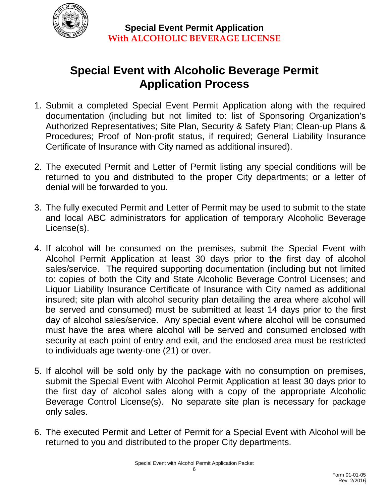

# **Special Event with Alcoholic Beverage Permit Application Process**

- 1. Submit a completed Special Event Permit Application along with the required documentation (including but not limited to: list of Sponsoring Organization's Authorized Representatives; Site Plan, Security & Safety Plan; Clean-up Plans & Procedures; Proof of Non-profit status, if required; General Liability Insurance Certificate of Insurance with City named as additional insured).
- 2. The executed Permit and Letter of Permit listing any special conditions will be returned to you and distributed to the proper City departments; or a letter of denial will be forwarded to you.
- 3. The fully executed Permit and Letter of Permit may be used to submit to the state and local ABC administrators for application of temporary Alcoholic Beverage License(s).
- 4. If alcohol will be consumed on the premises, submit the Special Event with Alcohol Permit Application at least 30 days prior to the first day of alcohol sales/service. The required supporting documentation (including but not limited to: copies of both the City and State Alcoholic Beverage Control Licenses; and Liquor Liability Insurance Certificate of Insurance with City named as additional insured; site plan with alcohol security plan detailing the area where alcohol will be served and consumed) must be submitted at least 14 days prior to the first day of alcohol sales/service. Any special event where alcohol will be consumed must have the area where alcohol will be served and consumed enclosed with security at each point of entry and exit, and the enclosed area must be restricted to individuals age twenty-one (21) or over.
- 5. If alcohol will be sold only by the package with no consumption on premises, submit the Special Event with Alcohol Permit Application at least 30 days prior to the first day of alcohol sales along with a copy of the appropriate Alcoholic Beverage Control License(s). No separate site plan is necessary for package only sales.
- 6. The executed Permit and Letter of Permit for a Special Event with Alcohol will be returned to you and distributed to the proper City departments.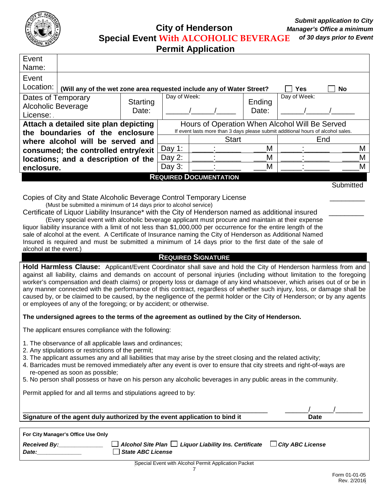

**City of Henderson Special Event With ALCOHOLIC BEVERAGE**

**Permit Application**

| Event<br>Name:                                                                              |                   |                                                                                                                                    |              |                 |              |           |
|---------------------------------------------------------------------------------------------|-------------------|------------------------------------------------------------------------------------------------------------------------------------|--------------|-----------------|--------------|-----------|
| Event<br>Location:<br>(Will any of the wet zone area requested include any of Water Street? |                   |                                                                                                                                    |              |                 | Yes          | <b>No</b> |
| Dates of Temporary<br>Alcoholic Beverage<br>License:                                        | Starting<br>Date: | Day of Week:                                                                                                                       |              | Ending<br>Date: | Day of Week: |           |
| Attach a detailed site plan depicting<br>the boundaries of the enclosure                    |                   | Hours of Operation When Alcohol Will Be Served<br>If event lasts more than 3 days please submit additional hours of alcohol sales. |              |                 |              |           |
| where alcohol will be served and                                                            |                   |                                                                                                                                    | <b>Start</b> |                 | End          |           |
| consumed; the controlled entry/exit                                                         |                   | Day 1:                                                                                                                             |              | M               |              | M         |
| locations; and a description of the                                                         |                   | Day $2$ :                                                                                                                          |              | M               |              | М         |
| enclosure.                                                                                  |                   | Day $3$ :                                                                                                                          |              | М               |              | M         |
| <b>REQUIRED DOCUMENTATION</b>                                                               |                   |                                                                                                                                    |              |                 |              |           |
|                                                                                             |                   |                                                                                                                                    |              |                 |              | Submitted |

Copies of City and State Alcoholic Beverage Control Temporary License \_\_\_\_\_\_\_\_\_

(Must be submitted a minimum of 14 days prior to alcohol service)

Certificate of Liquor Liability Insurance\* with the City of Henderson named as additional insured (Every special event with alcoholic beverage applicant must procure and maintain at their expense

liquor liability insurance with a limit of not less than \$1,000,000 per occurrence for the entire length of the sale of alcohol at the event. A Certificate of Insurance naming the City of Henderson as Additional Named Insured is required and must be submitted a minimum of 14 days prior to the first date of the sale of alcohol at the event.)

### **REQUIRED SIGNATURE**

**Hold Harmless Clause:** Applicant/Event Coordinator shall save and hold the City of Henderson harmless from and against all liability, claims and demands on account of personal injuries (including without limitation to the foregoing worker's compensation and death claims) or property loss or damage of any kind whatsoever, which arises out of or be in any manner connected with the performance of this contract, regardless of whether such injury, loss, or damage shall be caused by, or be claimed to be caused, by the negligence of the permit holder or the City of Henderson; or by any agents or employees of any of the foregoing; or by accident; or otherwise.

### **The undersigned agrees to the terms of the agreement as outlined by the City of Henderson.**

The applicant ensures compliance with the following:

- 1. The observance of all applicable laws and ordinances;
- 2. Any stipulations or restrictions of the permit;
- 3. The applicant assumes any and all liabilities that may arise by the street closing and the related activity;
- 4. Barricades must be removed immediately after any event is over to ensure that city streets and right-of-ways are re-opened as soon as possible;
- 5. No person shall possess or have on his person any alcoholic beverages in any public areas in the community.

Permit applied for and all terms and stipulations agreed to by:

\_\_\_\_\_\_\_\_\_\_\_\_\_\_\_\_\_\_\_\_\_\_\_\_\_\_\_\_\_\_\_\_\_\_\_\_\_\_\_\_\_\_\_\_\_\_\_\_\_\_\_\_\_\_\_\_\_\_\_\_\_\_\_ \_\_\_\_\_\_/\_\_\_\_\_\_/\_\_\_\_\_\_\_ **Signature of the agent duly authorized by the event application to bind it Case Date** 

| <b>Received By:</b><br>Date: | $\Box$ Alcohol Site Plan $\Box$ Liquor Liability Ins. Certificate<br>State ABC License | $\Box$ City ABC License |
|------------------------------|----------------------------------------------------------------------------------------|-------------------------|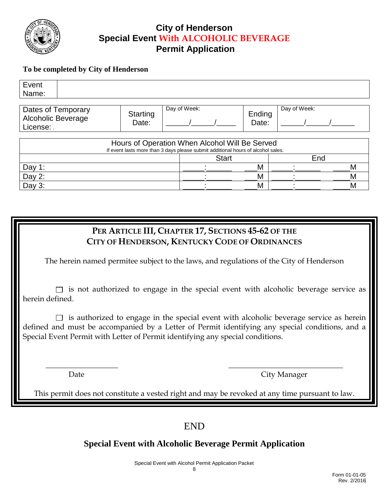

## **City of Henderson Special Event With ALCOHOLIC BEVERAGE Permit Application**

### **To be completed by City of Henderson**

| Event<br>Name:                                              |                   |                                                                                                                                    |                 |              |   |
|-------------------------------------------------------------|-------------------|------------------------------------------------------------------------------------------------------------------------------------|-----------------|--------------|---|
| Dates of Temporary<br><b>Alcoholic Beverage</b><br>License: | Starting<br>Date: | Day of Week:                                                                                                                       | Ending<br>Date: | Day of Week: |   |
|                                                             |                   | Hours of Operation When Alcohol Will Be Served<br>If event lasts more than 3 days please submit additional hours of alcohol sales. |                 |              |   |
|                                                             |                   | <b>Start</b>                                                                                                                       |                 | End          |   |
| Day 1:                                                      |                   |                                                                                                                                    | Μ               |              | Μ |
| Day $2$ :                                                   |                   |                                                                                                                                    | М               |              | M |
| Day $3:$                                                    |                   |                                                                                                                                    | M               |              | М |

## **PER ARTICLE III, CHAPTER 17, SECTIONS 45-62 OF THE CITY OF HENDERSON, KENTUCKY CODE OF ORDINANCES**

The herein named permitee subject to the laws, and regulations of the City of Henderson

 $\Box$  is not authorized to engage in the special event with alcoholic beverage service as herein defined.

 $\Box$  is authorized to engage in the special event with alcoholic beverage service as herein defined and must be accompanied by a Letter of Permit identifying any special conditions, and a Special Event Permit with Letter of Permit identifying any special conditions.

Date City Manager

This permit does not constitute a vested right and may be revoked at any time pursuant to law.

 $\overline{\phantom{a}}$  , and the contract of the contract of the contract of the contract of the contract of the contract of the contract of the contract of the contract of the contract of the contract of the contract of the contrac

## END

## **Special Event with Alcoholic Beverage Permit Application**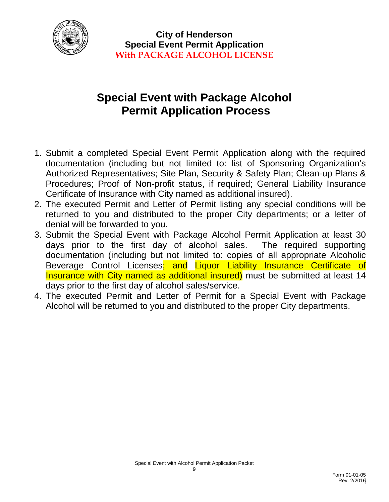

# **Special Event with Package Alcohol Permit Application Process**

- 1. Submit a completed Special Event Permit Application along with the required documentation (including but not limited to: list of Sponsoring Organization's Authorized Representatives; Site Plan, Security & Safety Plan; Clean-up Plans & Procedures; Proof of Non-profit status, if required; General Liability Insurance Certificate of Insurance with City named as additional insured).
- 2. The executed Permit and Letter of Permit listing any special conditions will be returned to you and distributed to the proper City departments; or a letter of denial will be forwarded to you.
- 3. Submit the Special Event with Package Alcohol Permit Application at least 30 days prior to the first day of alcohol sales. The required supporting documentation (including but not limited to: copies of all appropriate Alcoholic Beverage Control Licenses; and Liquor Liability Insurance Certificate of Insurance with City named as additional insured) must be submitted at least 14 days prior to the first day of alcohol sales/service.
- 4. The executed Permit and Letter of Permit for a Special Event with Package Alcohol will be returned to you and distributed to the proper City departments.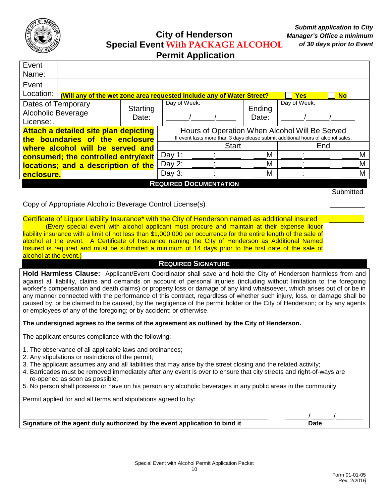

# **City of Henderson Special Event With PACKAGE ALCOHOL**

|  |  | <b>Permit Application</b> |
|--|--|---------------------------|
|--|--|---------------------------|

| Event<br>Name:                                                                                                                             |                                                                                                  |        |              |   |                 |              |   |   |
|--------------------------------------------------------------------------------------------------------------------------------------------|--------------------------------------------------------------------------------------------------|--------|--------------|---|-----------------|--------------|---|---|
| Event                                                                                                                                      |                                                                                                  |        |              |   |                 |              |   |   |
| Location:                                                                                                                                  | (Will any of the wet zone area requested include any of Water Street?<br><b>No</b><br><b>Yes</b> |        |              |   |                 |              |   |   |
| Dates of Temporary<br>Starting<br><b>Alcoholic Beverage</b><br>Date:<br>License:                                                           |                                                                                                  |        | Day of Week: |   | Ending<br>Date: | Day of Week: |   |   |
|                                                                                                                                            | <b>Attach a detailed site plan depicting</b><br>Hours of Operation When Alcohol Will Be Served   |        |              |   |                 |              |   |   |
| If event lasts more than 3 days please submit additional hours of alcohol sales.<br>the boundaries of the enclosure<br><b>Start</b><br>End |                                                                                                  |        |              |   |                 |              |   |   |
| where alcohol will be served and                                                                                                           |                                                                                                  |        |              |   | M               |              |   | М |
| consumed; the controlled entry/exit                                                                                                        |                                                                                                  | Day 1: |              |   |                 |              |   |   |
| locations; and a description of the                                                                                                        |                                                                                                  | Day 2: |              | М |                 |              | М |   |
|                                                                                                                                            | Day $3:$<br>М<br>M<br>enclosure.                                                                 |        |              |   |                 |              |   |   |
| <b>REQUIRED DOCUMENTATION</b>                                                                                                              |                                                                                                  |        |              |   |                 |              |   |   |

**Submitted** 

### Copy of Appropriate Alcoholic Beverage Control License(s) \_\_\_\_\_\_\_\_\_

Certificate of Liquor Liability Insurance<sup>\*</sup> with the City of Henderson named as additional insured (Every special event with alcohol applicant must procure and maintain at their expense liquor liability insurance with a limit of not less than \$1,000,000 per occurrence for the entire length of the sale of alcohol at the event. A Certificate of Insurance naming the City of Henderson as Additional Named Insured is required and must be submitted a minimum of 14 days prior to the first date of the sale of alcohol at the event.)

### **REQUIRED SIGNATURE**

**Hold Harmless Clause:** Applicant/Event Coordinator shall save and hold the City of Henderson harmless from and against all liability, claims and demands on account of personal injuries (including without limitation to the foregoing worker's compensation and death claims) or property loss or damage of any kind whatsoever, which arises out of or be in any manner connected with the performance of this contract, regardless of whether such injury, loss, or damage shall be caused by, or be claimed to be caused, by the negligence of the permit holder or the City of Henderson; or by any agents or employees of any of the foregoing; or by accident; or otherwise.

#### **The undersigned agrees to the terms of the agreement as outlined by the City of Henderson.**

The applicant ensures compliance with the following:

- 1. The observance of all applicable laws and ordinances;
- 2. Any stipulations or restrictions of the permit;
- 3. The applicant assumes any and all liabilities that may arise by the street closing and the related activity;
- 4. Barricades must be removed immediately after any event is over to ensure that city streets and right-of-ways are re-opened as soon as possible;
- 5. No person shall possess or have on his person any alcoholic beverages in any public areas in the community.

Permit applied for and all terms and stipulations agreed to by:

**Signature of the agent duly authorized by the event application to bind it Example 20 Date** 

\_\_\_\_\_\_\_\_\_\_\_\_\_\_\_\_\_\_\_\_\_\_\_\_\_\_\_\_\_\_\_\_\_\_\_\_\_\_\_\_\_\_\_\_\_\_\_\_\_\_\_\_\_\_\_\_\_\_\_\_\_\_\_ \_\_\_\_\_\_/\_\_\_\_\_\_/\_\_\_\_\_\_\_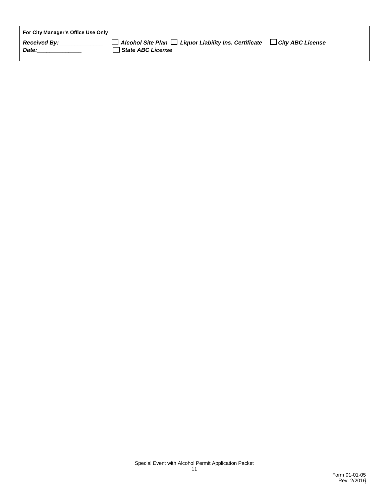| For City Manager's Office Use Only |                                                                                        |                         |
|------------------------------------|----------------------------------------------------------------------------------------|-------------------------|
| <b>Received By:</b><br>Date:       | $\Box$ Alcohol Site Plan $\Box$ Liquor Liability Ins. Certificate<br>State ABC License | $\Box$ City ABC License |